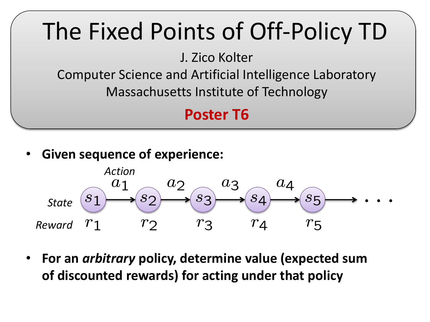## The Fixed Points of Off-Policy TD

J. Zico Kolter

Computer Science and Artificial Intelligence Laboratory

Massachusetts Institute of Technology

## **Poster T6**

• **Given sequence of experience:**



• **For an** *arbitrary* **policy, determine value (expected sum of discounted rewards) for acting under that policy**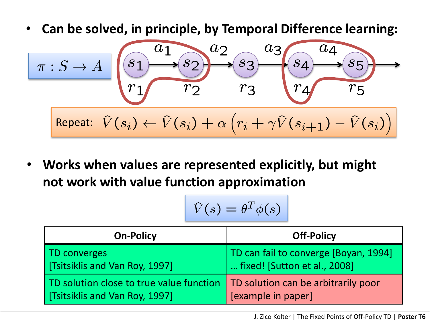• **Can be solved, in principle, by Temporal Difference learning:**

$$
\begin{array}{|c|c|c|}\n\hline\n\pi:S \rightarrow A & s_1 & s_2 & s_3 & s_4 & s_5 \\
\hline\nr_1 & r_2 & r_3 & r_4 & r_5 \\
\hline\n\text{Repeat: } \hat{V}(s_i) \leftarrow \hat{V}(s_i) + \alpha \left( r_i + \gamma \hat{V}(s_{i+1}) - \hat{V}(s_i) \right)\n\hline\n\end{array}
$$

• **Works when values are represented explicitly, but might not work with value function approximation**

$$
\hat{V}(s) = \theta^T \phi(s)
$$

| <b>On-Policy</b>                                                                                                   | <b>Off-Policy</b>                                                     |
|--------------------------------------------------------------------------------------------------------------------|-----------------------------------------------------------------------|
| TD converges<br>  [Tsitsiklis and Van Roy, 1997]                                                                   | TD can fail to converge [Boyan, 1994]<br>fixed! [Sutton et al., 2008] |
| TD solution close to true value function   TD solution can be arbitrarily poor<br>  [Tsitsiklis and Van Roy, 1997] | [example in paper]                                                    |

J. Zico Kolter | The Fixed Points of Off-Policy TD | **Poster T6**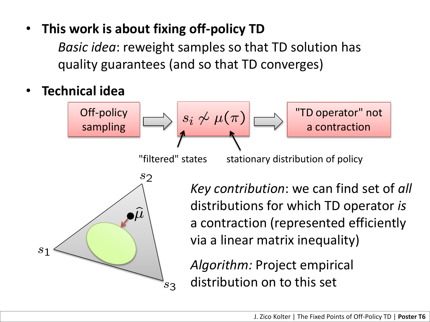## • **This work is about fixing off-policy TD**

*Basic idea*: reweight samples so that TD solution has quality guarantees (and so that TD converges)

• **Technical idea**